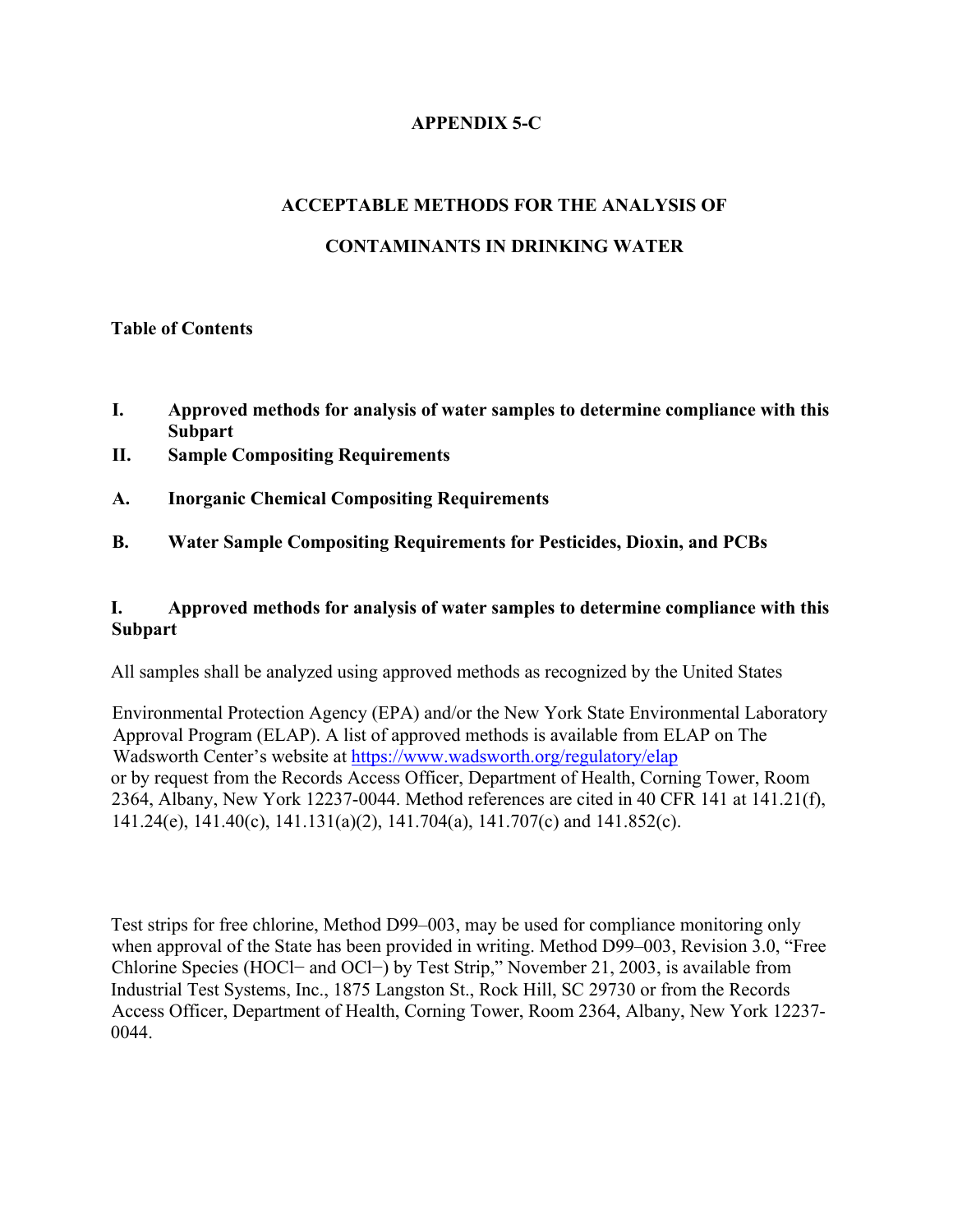## **APPENDIX 5-C**

# **ACCEPTABLE METHODS FOR THE ANALYSIS OF**

## **CONTAMINANTS IN DRINKING WATER**

### **Table of Contents**

- **I. Approved methods for analysis of water samples to determine compliance with this Subpart**
- **II. Sample Compositing Requirements**
- **A. Inorganic Chemical Compositing Requirements**
- **B. Water Sample Compositing Requirements for Pesticides, Dioxin, and PCBs**

### **I. Approved methods for analysis of water samples to determine compliance with this Subpart**

All samples shall be analyzed using approved methods as recognized by the United States

Environmental Protection Agency (EPA) and/or the New York State Environmental Laboratory Approval Program (ELAP). A list of approved methods is available from ELAP on The Wadsworth Center's website at https://www.wadsworth.org/regulatory/elap or by request from the Records Access Officer, Department of Health, Corning Tower, Room 2364, Albany, New York 12237-0044. Method references are cited in 40 CFR 141 at 141.21(f), 141.24(e), 141.40(c), 141.131(a)(2), 141.704(a), 141.707(c) and 141.852(c).

Test strips for free chlorine, Method D99–003, may be used for compliance monitoring only when approval of the State has been provided in writing. Method D99–003, Revision 3.0, "Free Chlorine Species (HOCl− and OCl−) by Test Strip," November 21, 2003, is available from Industrial Test Systems, Inc., 1875 Langston St., Rock Hill, SC 29730 or from the Records Access Officer, Department of Health, Corning Tower, Room 2364, Albany, New York 12237- 0044.